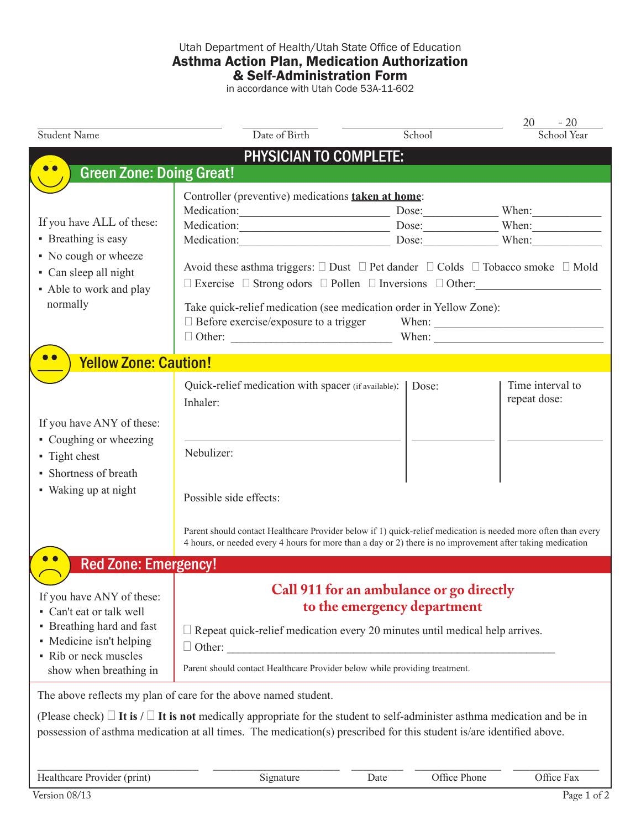## Utah Department of Health/Utah State Office of Education Asthma Action Plan, Medication Authorization & Self-Administration Form

in accordance with Utah Code 53A-11-602

| <b>Student Name</b>                                          | Date of Birth                                                                                                                                                                                                               | School | 20<br>$-20$                |  |  |
|--------------------------------------------------------------|-----------------------------------------------------------------------------------------------------------------------------------------------------------------------------------------------------------------------------|--------|----------------------------|--|--|
|                                                              |                                                                                                                                                                                                                             |        | School Year                |  |  |
|                                                              | <b>PHYSICIAN TO COMPLETE:</b>                                                                                                                                                                                               |        |                            |  |  |
| <b>Green Zone: Doing Great!</b>                              |                                                                                                                                                                                                                             |        |                            |  |  |
|                                                              | Controller (preventive) medications <b>taken at home</b> :                                                                                                                                                                  |        |                            |  |  |
| If you have ALL of these:<br>• Breathing is easy             | Medication: Dose: When:                                                                                                                                                                                                     |        |                            |  |  |
|                                                              | Medication: Dose: When:                                                                                                                                                                                                     |        |                            |  |  |
|                                                              | Medication: Dose: When: When:                                                                                                                                                                                               |        |                            |  |  |
| • No cough or wheeze                                         | Avoid these asthma triggers: $\square$ Dust $\square$ Pet dander $\square$ Colds $\square$ Tobacco smoke $\square$ Mold                                                                                                     |        |                            |  |  |
| • Can sleep all night<br>• Able to work and play<br>normally | $\Box$ Exercise $\Box$ Strong odors $\Box$ Pollen $\Box$ Inversions $\Box$ Other:                                                                                                                                           |        |                            |  |  |
|                                                              | Take quick-relief medication (see medication order in Yellow Zone):                                                                                                                                                         |        |                            |  |  |
|                                                              | $\Box$ Before exercise/exposure to a trigger                                                                                                                                                                                |        |                            |  |  |
|                                                              |                                                                                                                                                                                                                             |        |                            |  |  |
| <b>Yellow Zone: Caution!</b>                                 |                                                                                                                                                                                                                             |        |                            |  |  |
|                                                              | Quick-relief medication with spacer (if available):                                                                                                                                                                         | Dose:  | Time interval to           |  |  |
|                                                              | Inhaler:                                                                                                                                                                                                                    |        | repeat dose:               |  |  |
| If you have ANY of these:                                    |                                                                                                                                                                                                                             |        |                            |  |  |
| • Coughing or wheezing                                       |                                                                                                                                                                                                                             |        |                            |  |  |
| • Tight chest                                                | Nebulizer:                                                                                                                                                                                                                  |        |                            |  |  |
| • Shortness of breath                                        |                                                                                                                                                                                                                             |        |                            |  |  |
| • Waking up at night                                         |                                                                                                                                                                                                                             |        |                            |  |  |
|                                                              | Possible side effects:                                                                                                                                                                                                      |        |                            |  |  |
|                                                              |                                                                                                                                                                                                                             |        |                            |  |  |
|                                                              | Parent should contact Healthcare Provider below if 1) quick-relief medication is needed more often than every<br>4 hours, or needed every 4 hours for more than a day or 2) there is no improvement after taking medication |        |                            |  |  |
|                                                              |                                                                                                                                                                                                                             |        |                            |  |  |
| <b>Red Zone: Emergency!</b>                                  |                                                                                                                                                                                                                             |        |                            |  |  |
| If you have ANY of these:                                    | Call 911 for an ambulance or go directly                                                                                                                                                                                    |        |                            |  |  |
| • Can't eat or talk well                                     | to the emergency department                                                                                                                                                                                                 |        |                            |  |  |
| • Breathing hard and fast                                    | $\Box$ Repeat quick-relief medication every 20 minutes until medical help arrives.                                                                                                                                          |        |                            |  |  |
| • Medicine isn't helping                                     | $\Box$ Other:                                                                                                                                                                                                               |        |                            |  |  |
| • Rib or neck muscles                                        |                                                                                                                                                                                                                             |        |                            |  |  |
| show when breathing in                                       | Parent should contact Healthcare Provider below while providing treatment.                                                                                                                                                  |        |                            |  |  |
|                                                              | The above reflects my plan of care for the above named student.                                                                                                                                                             |        |                            |  |  |
|                                                              | (Please check) $\Box$ It is / $\Box$ It is not medically appropriate for the student to self-administer asthma medication and be in                                                                                         |        |                            |  |  |
|                                                              | possession of asthma medication at all times. The medication(s) prescribed for this student is/are identified above.                                                                                                        |        |                            |  |  |
|                                                              |                                                                                                                                                                                                                             |        |                            |  |  |
| Healthcare Provider (print)                                  | Signature<br>Date                                                                                                                                                                                                           |        | Office Phone<br>Office Fax |  |  |
|                                                              |                                                                                                                                                                                                                             |        |                            |  |  |